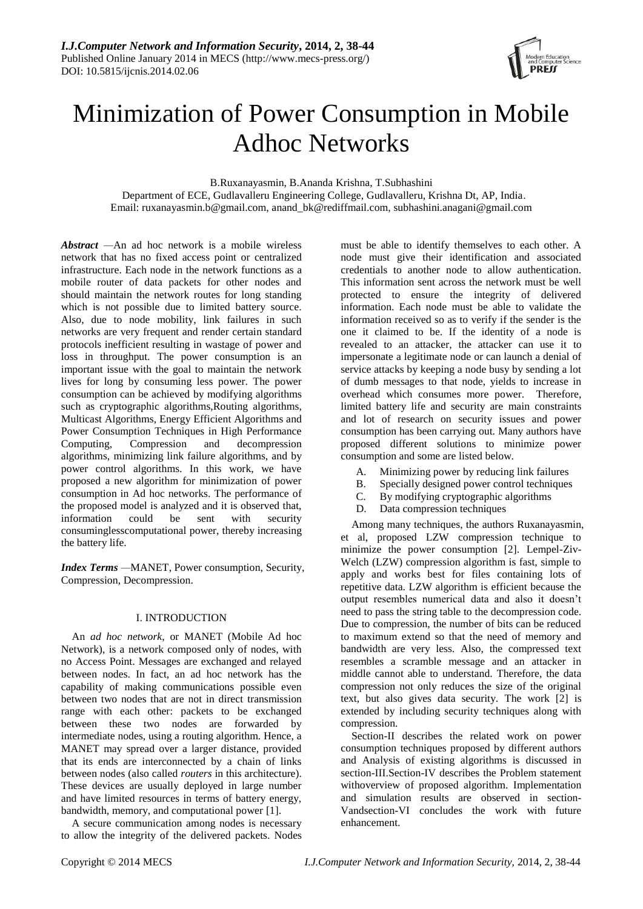

# Minimization of Power Consumption in Mobile Adhoc Networks

B.Ruxanayasmin, B.Ananda Krishna, T.Subhashini

 Department of ECE, Gudlavalleru Engineering College, Gudlavalleru, Krishna Dt, AP, India. Email: [ruxanayasmin.b@gmail.com,](mailto:ruxanayasmin.b@gmail.com) [anand\\_bk@rediffmail.com,](mailto:anand_bk@rediffmail.com) subhashini.anagani@gmail.com

*Abstract —*An ad hoc network is a mobile wireless network that has no fixed access point or centralized infrastructure. Each node in the network functions as a mobile router of data packets for other nodes and should maintain the network routes for long standing which is not possible due to limited battery source. Also, due to node mobility, link failures in such networks are very frequent and render certain standard protocols inefficient resulting in wastage of power and loss in throughput. The power consumption is an important issue with the goal to maintain the network lives for long by consuming less power. The power consumption can be achieved by modifying algorithms such as cryptographic algorithms, Routing algorithms, Multicast Algorithms, Energy Efficient Algorithms and Power Consumption Techniques in High Performance Computing, Compression and decompression algorithms, minimizing link failure algorithms, and by power control algorithms. In this work, we have proposed a new algorithm for minimization of power consumption in Ad hoc networks. The performance of the proposed model is analyzed and it is observed that, information could be sent with security consuminglesscomputational power, thereby increasing the battery life.

*Index Terms —*MANET, Power consumption, Security, Compression, Decompression.

## I. INTRODUCTION

An *ad hoc network*, or MANET (Mobile Ad hoc Network), is a network composed only of nodes, with no Access Point. Messages are exchanged and relayed between nodes. In fact, an ad hoc network has the capability of making communications possible even between two nodes that are not in direct transmission range with each other: packets to be exchanged between these two nodes are forwarded by intermediate nodes, using a routing algorithm. Hence, a MANET may spread over a larger distance, provided that its ends are interconnected by a chain of links between nodes (also called *routers* in this architecture). These devices are usually deployed in large number and have limited resources in terms of battery energy, bandwidth, memory, and computational power [1].

A secure communication among nodes is necessary to allow the integrity of the delivered packets. Nodes

must be able to identify themselves to each other. A node must give their identification and associated credentials to another node to allow authentication. This information sent across the network must be well protected to ensure the integrity of delivered information. Each node must be able to validate the information received so as to verify if the sender is the one it claimed to be. If the identity of a node is revealed to an attacker, the attacker can use it to impersonate a legitimate node or can launch a denial of service attacks by keeping a node busy by sending a lot of dumb messages to that node, yields to increase in overhead which consumes more power. Therefore, limited battery life and security are main constraints and lot of research on security issues and power consumption has been carrying out. Many authors have proposed different solutions to minimize power consumption and some are listed below.

- A. Minimizing power by reducing link failures
- B. Specially designed power control techniques
- C. By modifying cryptographic algorithms
- D. Data compression techniques

Among many techniques, the authors Ruxanayasmin, et al, proposed LZW compression technique to minimize the power consumption [2]. Lempel-Ziv-Welch (LZW) compression algorithm is fast, simple to apply and works best for files containing lots of repetitive data. LZW algorithm is efficient because the output resembles numerical data and also it doesn"t need to pass the string table to the decompression code. Due to compression, the number of bits can be reduced to maximum extend so that the need of memory and bandwidth are very less. Also, the compressed text resembles a scramble message and an attacker in middle cannot able to understand. Therefore, the data compression not only reduces the size of the original text, but also gives data security. The work [2] is extended by including security techniques along with compression.

Section-II describes the related work on power consumption techniques proposed by different authors and Analysis of existing algorithms is discussed in section-III.Section-IV describes the Problem statement withoverview of proposed algorithm. Implementation and simulation results are observed in section-Vandsection-VI concludes the work with future enhancement.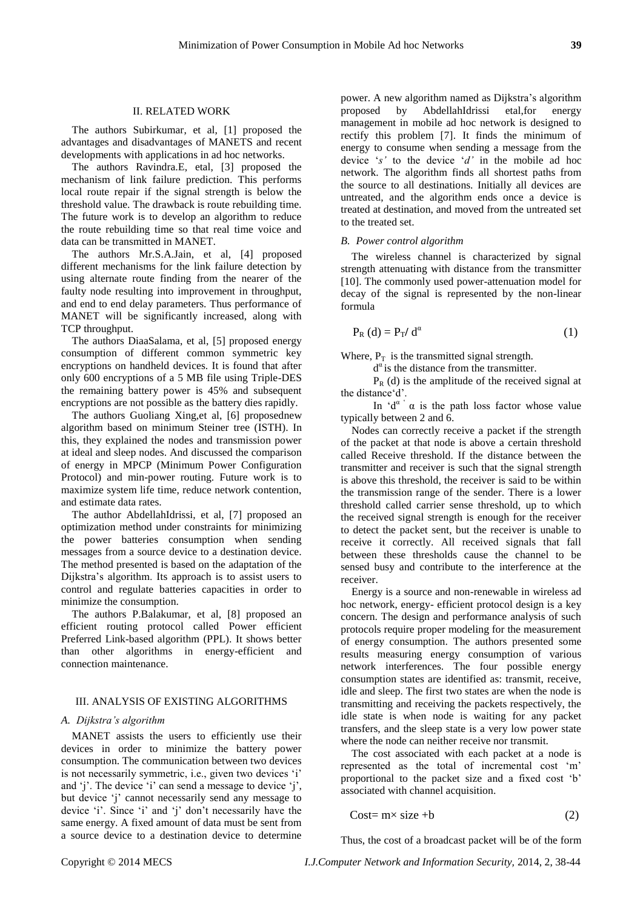#### II. RELATED WORK

The authors Subirkumar, et al, [1] proposed the advantages and disadvantages of MANETS and recent developments with applications in ad hoc networks.

The authors Ravindra.E, etal, [3] proposed the mechanism of link failure prediction. This performs local route repair if the signal strength is below the threshold value. The drawback is route rebuilding time. The future work is to develop an algorithm to reduce the route rebuilding time so that real time voice and data can be transmitted in MANET.

The authors Mr.S.A.Jain, et al, [4] proposed different mechanisms for the link failure detection by using alternate route finding from the nearer of the faulty node resulting into improvement in throughput, and end to end delay parameters. Thus performance of MANET will be significantly increased, along with TCP throughput.

The authors DiaaSalama, et al, [5] proposed energy consumption of different common symmetric key encryptions on handheld devices. It is found that after only 600 encryptions of a 5 MB file using Triple-DES the remaining battery power is 45% and subsequent encryptions are not possible as the battery dies rapidly.

The authors Guoliang Xing,et al, [6] proposednew algorithm based on minimum Steiner tree (ISTH). In this, they explained the nodes and transmission power at ideal and sleep nodes. And discussed the comparison of energy in MPCP (Minimum Power Configuration Protocol) and min-power routing. Future work is to maximize system life time, reduce network contention, and estimate data rates.

The author AbdellahIdrissi, et al, [7] proposed an optimization method under constraints for minimizing the power batteries consumption when sending messages from a source device to a destination device. The method presented is based on the adaptation of the Dijkstra"s algorithm. Its approach is to assist users to control and regulate batteries capacities in order to minimize the consumption.

The authors P.Balakumar, et al, [8] proposed an efficient routing protocol called Power efficient Preferred Link-based algorithm (PPL). It shows better than other algorithms in energy-efficient and connection maintenance.

# III. ANALYSIS OF EXISTING ALGORITHMS

#### *A. Dijkstra's algorithm*

MANET assists the users to efficiently use their devices in order to minimize the battery power consumption. The communication between two devices is not necessarily symmetric, i.e., given two devices 'i' and  $'i'$ . The device  $'i'$  can send a message to device  $'i'$ , but device 'j' cannot necessarily send any message to device 'i'. Since 'i' and 'i' don't necessarily have the same energy. A fixed amount of data must be sent from a source device to a destination device to determine

power. A new algorithm named as Dijkstra"s algorithm proposed by AbdellahIdrissi etal,for energy management in mobile ad hoc network is designed to rectify this problem [7]. It finds the minimum of energy to consume when sending a message from the device "*s'* to the device "*d'* in the mobile ad hoc network. The algorithm finds all shortest paths from the source to all destinations. Initially all devices are untreated, and the algorithm ends once a device is treated at destination, and moved from the untreated set to the treated set.

#### *B. Power control algorithm*

The wireless channel is characterized by signal strength attenuating with distance from the transmitter [10]. The commonly used power-attenuation model for decay of the signal is represented by the non-linear formula

$$
P_R(d) = P_T/d^{\alpha}
$$
 (1)

Where,  $P_T$  is the transmitted signal strength.

 $d^{\alpha}$  is the distance from the transmitter.

 $P_R$  (d) is the amplitude of the received signal at the distance'd'.

In  $d^{\alpha}$  a is the path loss factor whose value typically between 2 and 6.

Nodes can correctly receive a packet if the strength of the packet at that node is above a certain threshold called Receive threshold. If the distance between the transmitter and receiver is such that the signal strength is above this threshold, the receiver is said to be within the transmission range of the sender. There is a lower threshold called carrier sense threshold, up to which the received signal strength is enough for the receiver to detect the packet sent, but the receiver is unable to receive it correctly. All received signals that fall between these thresholds cause the channel to be sensed busy and contribute to the interference at the receiver.

Energy is a source and non-renewable in wireless ad hoc network, energy- efficient protocol design is a key concern. The design and performance analysis of such protocols require proper modeling for the measurement of energy consumption. The authors presented some results measuring energy consumption of various network interferences. The four possible energy consumption states are identified as: transmit, receive, idle and sleep. The first two states are when the node is transmitting and receiving the packets respectively, the idle state is when node is waiting for any packet transfers, and the sleep state is a very low power state where the node can neither receive nor transmit.

The cost associated with each packet at a node is represented as the total of incremental cost "m" proportional to the packet size and a fixed cost "b" associated with channel acquisition.

$$
Cost = m \times size + b \tag{2}
$$

Thus, the cost of a broadcast packet will be of the form

Copyright © 2014 MECS *I.J.Computer Network and Information Security,* 2014, 2, 38-44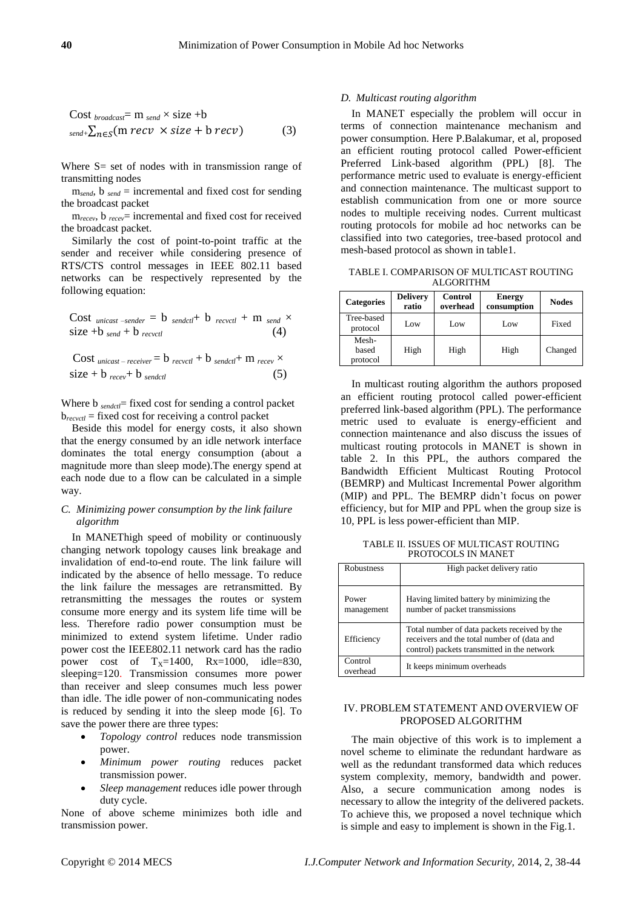Cost 
$$
_{broadcast}
$$
 = m  $_{send} \times size +b$   
\n $_{send+}\sum_{n \in S} (m \text{recv} \times size + b \text{recv})$  (3)

Where S = set of nodes with in transmission range of transmitting nodes

m*send*, b *send* = incremental and fixed cost for sending the broadcast packet

m*recev*, b *recev*= incremental and fixed cost for received the broadcast packet.

Similarly the cost of point-to-point traffic at the sender and receiver while considering presence of RTS**/**CTS control messages in IEEE 802.11 based networks can be respectively represented by the following equation:

Cost 
$$
_{unicast-sender} = b_{sendct} + b_{record} + m_{send} \times
$$
  
size +b  $_{send} + b_{record}$  (4)

Cost *unicast-receiver* = 
$$
b_{\text{recv}} + b_{\text{sendct}} + m_{\text{recv}} \times
$$
  
size +  $b_{\text{recv}} + b_{\text{sendctl}}$  (5)

Where b *sendctl* fixed cost for sending a control packet b*recvctl* = fixed cost for receiving a control packet

Beside this model for energy costs, it also shown that the energy consumed by an idle network interface dominates the total energy consumption (about a magnitude more than sleep mode).The energy spend at each node due to a flow can be calculated in a simple way.

# *C. Minimizing power consumption by the link failure algorithm*

In MANEThigh speed of mobility or continuously changing network topology causes link breakage and invalidation of end-to-end route. The link failure will indicated by the absence of hello message. To reduce the link failure the messages are retransmitted. By retransmitting the messages the routes or system consume more energy and its system life time will be less. Therefore radio power consumption must be minimized to extend system lifetime. Under radio power cost the IEEE802.11 network card has the radio power cost of  $T_x=1400$ ,  $Rx=1000$ , idle=830, sleeping=120. Transmission consumes more power than receiver and sleep consumes much less power than idle. The idle power of non-communicating nodes is reduced by sending it into the sleep mode [6]. To save the power there are three types:

- *Topology control* reduces node transmission power.
- *Minimum power routing* reduces packet transmission power.
- *Sleep management* reduces idle power through duty cycle.

None of above scheme minimizes both idle and transmission power.

## *D. Multicast routing algorithm*

In MANET especially the problem will occur in terms of connection maintenance mechanism and power consumption. Here P.Balakumar, et al, proposed an efficient routing protocol called Power-efficient Preferred Link-based algorithm (PPL) [8]. The performance metric used to evaluate is energy-efficient and connection maintenance. The multicast support to establish communication from one or more source nodes to multiple receiving nodes. Current multicast routing protocols for mobile ad hoc networks can be classified into two categories, tree-based protocol and mesh-based protocol as shown in table1.

TABLE I. COMPARISON OF MULTICAST ROUTING ALGORITHM

| <b>Categories</b>          | <b>Delivery</b><br>ratio | <b>Control</b><br>overhead | <b>Energy</b><br>consumption | <b>Nodes</b> |
|----------------------------|--------------------------|----------------------------|------------------------------|--------------|
| Tree-based<br>protocol     | Low                      | Low                        | Low                          | Fixed        |
| Mesh-<br>based<br>protocol | High                     | High                       | High                         | Changed      |

In multicast routing algorithm the authors proposed an efficient routing protocol called power-efficient preferred link-based algorithm (PPL). The performance metric used to evaluate is energy-efficient and connection maintenance and also discuss the issues of multicast routing protocols in MANET is shown in table 2. In this PPL, the authors compared the Bandwidth Efficient Multicast Routing Protocol (BEMRP) and Multicast Incremental Power algorithm (MIP) and PPL. The BEMRP didn"t focus on power efficiency, but for MIP and PPL when the group size is 10, PPL is less power-efficient than MIP.

TABLE II. ISSUES OF MULTICAST ROUTING PROTOCOLS IN MANET

| Robustness          | High packet delivery ratio                                                                                                                 |
|---------------------|--------------------------------------------------------------------------------------------------------------------------------------------|
| Power<br>management | Having limited battery by minimizing the<br>number of packet transmissions                                                                 |
| Efficiency          | Total number of data packets received by the<br>receivers and the total number of (data and<br>control) packets transmitted in the network |
| Control<br>overhead | It keeps minimum overheads                                                                                                                 |

### IV. PROBLEM STATEMENT AND OVERVIEW OF PROPOSED ALGORITHM

The main objective of this work is to implement a novel scheme to eliminate the redundant hardware as well as the redundant transformed data which reduces system complexity, memory, bandwidth and power. Also, a secure communication among nodes is necessary to allow the integrity of the delivered packets. To achieve this, we proposed a novel technique which is simple and easy to implement is shown in the Fig.1.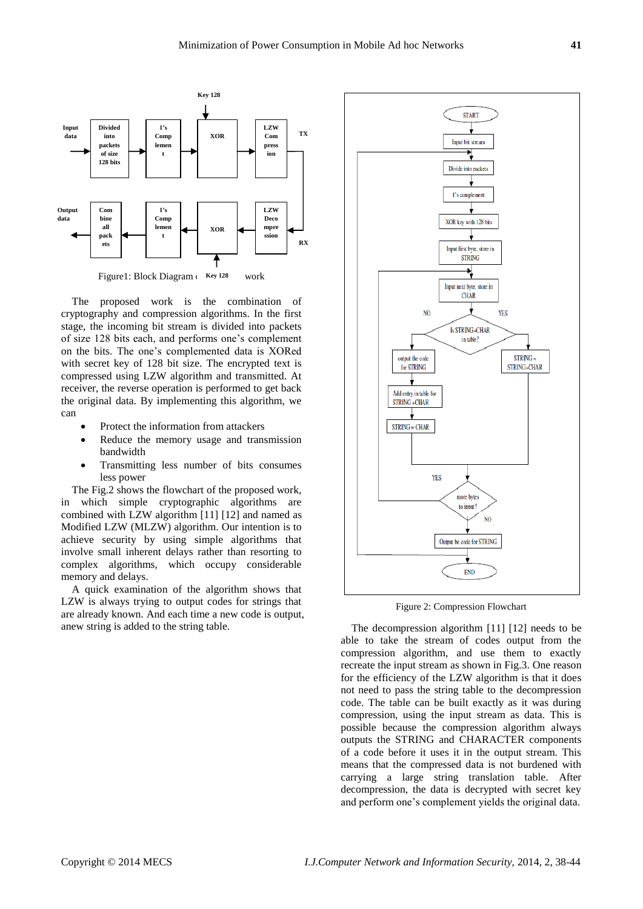

Figure1: Block Diagram (Key 128 work

The proposed work is the combination of cryptography and compression algorithms. In the first stage, the incoming bit stream is divided into packets of size 128 bits each, and performs one"s complement on the bits. The one"s complemented data is XORed with secret key of 128 bit size. The encrypted text is compressed using LZW algorithm and transmitted. At receiver, the reverse operation is performed to get back the original data. By implementing this algorithm, we can

- Protect the information from attackers
- Reduce the memory usage and transmission bandwidth
- Transmitting less number of bits consumes less power

The Fig.2 shows the flowchart of the proposed work, in which simple cryptographic algorithms are combined with LZW algorithm [11] [12] and named as Modified LZW (MLZW) algorithm. Our intention is to achieve security by using simple algorithms that involve small inherent delays rather than resorting to complex algorithms, which occupy considerable memory and delays.

A quick examination of the algorithm shows that LZW is always trying to output codes for strings that are already known. And each time a new code is output, anew string is added to the string table.



Figure 2: Compression Flowchart

The decompression algorithm [11] [12] needs to be able to take the stream of codes output from the compression algorithm, and use them to exactly recreate the input stream as shown in Fig.3. One reason for the efficiency of the LZW algorithm is that it does not need to pass the string table to the decompression code. The table can be built exactly as it was during compression, using the input stream as data. This is possible because the compression algorithm always outputs the STRING and CHARACTER components of a code before it uses it in the output stream. This means that the compressed data is not burdened with carrying a large string translation table. After decompression, the data is decrypted with secret key and perform one"s complement yields the original data.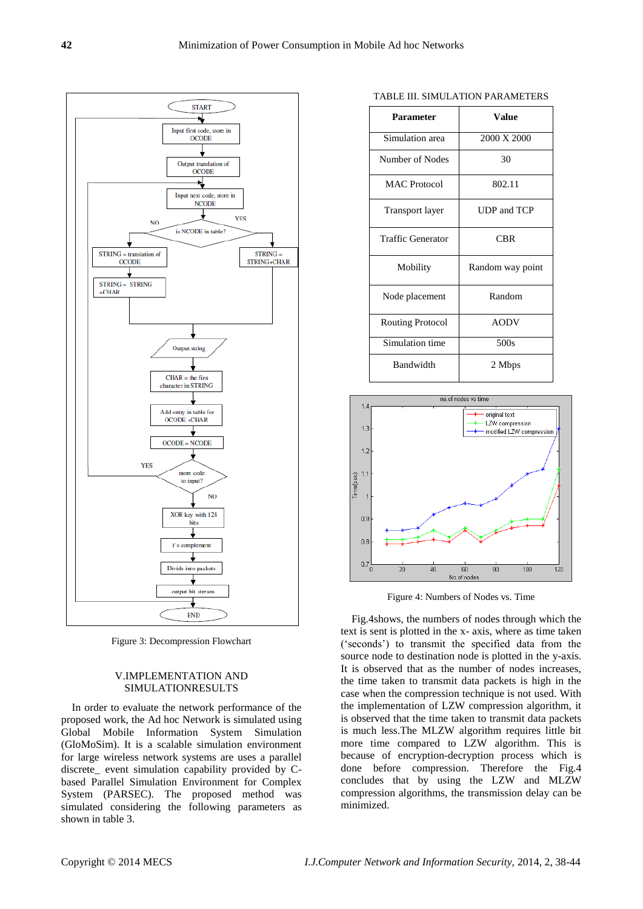

Figure 3: Decompression Flowchart

# V.IMPLEMENTATION AND SIMULATIONRESULTS

In order to evaluate the network performance of the proposed work, the Ad hoc Network is simulated using Global Mobile Information System Simulation (GloMoSim). It is a scalable simulation environment for large wireless network systems are uses a parallel discrete\_ event simulation capability provided by Cbased Parallel Simulation Environment for Complex System (PARSEC). The proposed method was simulated considering the following parameters as shown in table 3.

| <b>Parameter</b>         | Value            |
|--------------------------|------------------|
| Simulation area          | 2000 X 2000      |
| Number of Nodes          | 30               |
| <b>MAC</b> Protocol      | 802.11           |
| Transport layer          | UDP and TCP      |
| <b>Traffic Generator</b> | <b>CBR</b>       |
| Mobility                 | Random way point |
| Node placement           | Random           |
| <b>Routing Protocol</b>  | <b>AODV</b>      |
| Simulation time          | 500s             |
| Bandwidth                | 2 Mbps           |



Figure 4: Numbers of Nodes vs. Time

Fig.4shows, the numbers of nodes through which the text is sent is plotted in the x- axis, where as time taken ("seconds") to transmit the specified data from the source node to destination node is plotted in the y-axis. It is observed that as the number of nodes increases, the time taken to transmit data packets is high in the case when the compression technique is not used. With the implementation of LZW compression algorithm, it is observed that the time taken to transmit data packets is much less.The MLZW algorithm requires little bit more time compared to LZW algorithm. This is because of encryption-decryption process which is done before compression. Therefore the Fig.4 concludes that by using the LZW and MLZW compression algorithms, the transmission delay can be minimized.

#### TABLE III. SIMULATION PARAMETERS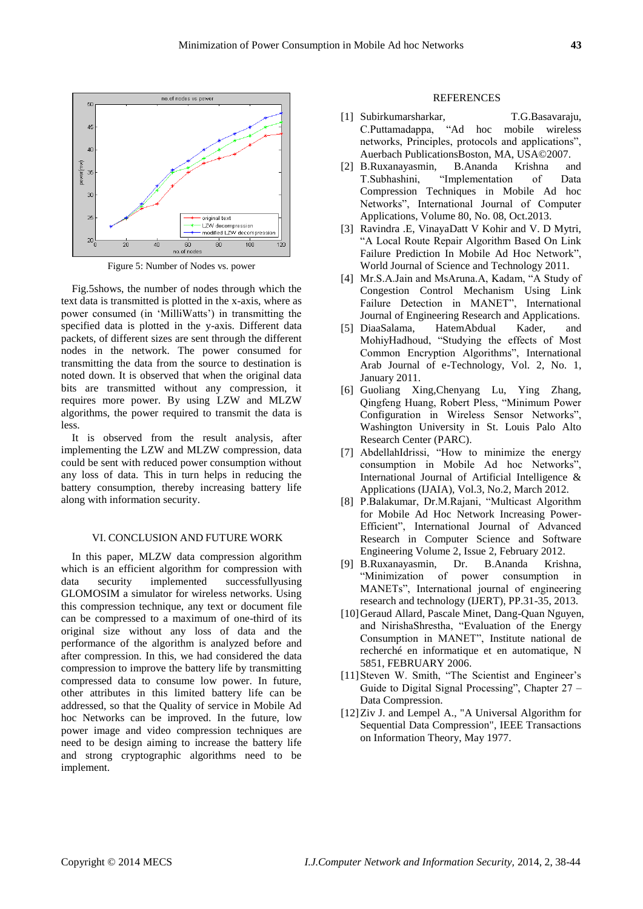

Figure 5: Number of Nodes vs. power

Fig.5shows, the number of nodes through which the text data is transmitted is plotted in the x-axis, where as power consumed (in "MilliWatts") in transmitting the specified data is plotted in the y-axis. Different data packets, of different sizes are sent through the different nodes in the network. The power consumed for transmitting the data from the source to destination is noted down. It is observed that when the original data bits are transmitted without any compression, it requires more power. By using LZW and MLZW algorithms, the power required to transmit the data is less.

It is observed from the result analysis, after implementing the LZW and MLZW compression, data could be sent with reduced power consumption without any loss of data. This in turn helps in reducing the battery consumption, thereby increasing battery life along with information security.

## VI. CONCLUSION AND FUTURE WORK

In this paper, MLZW data compression algorithm which is an efficient algorithm for compression with data security implemented successfullyusing GLOMOSIM a simulator for wireless networks. Using this compression technique, any text or document file can be compressed to a maximum of one-third of its original size without any loss of data and the performance of the algorithm is analyzed before and after compression. In this, we had considered the data compression to improve the battery life by transmitting compressed data to consume low power. In future, other attributes in this limited battery life can be addressed, so that the Quality of service in Mobile Ad hoc Networks can be improved. In the future, low power image and video compression techniques are need to be design aiming to increase the battery life and strong cryptographic algorithms need to be implement.

### **REFERENCES**

- [1] Subirkumarsharkar, T.G.Basavaraju, C.Puttamadappa, "Ad hoc mobile wireless networks, Principles, protocols and applications", Auerbach PublicationsBoston, MA, USA©2007.
- [2] B.Ruxanayasmin, B.Ananda Krishna and T.Subhashini, "Implementation of Data Compression Techniques in Mobile Ad hoc Networks", International Journal of Computer Applications, Volume 80, No. 08, Oct.2013.
- [3] Ravindra .E, VinayaDatt V Kohir and V. D Mytri, "A Local Route Repair Algorithm Based On Link Failure Prediction In Mobile Ad Hoc Network", World Journal of Science and Technology 2011.
- [4] Mr.S.A.Jain and MsAruna.A, Kadam, "A Study of Congestion Control Mechanism Using Link Failure Detection in MANET", International Journal of Engineering Research and Applications.
- [5] DiaaSalama, HatemAbdual Kader, and MohiyHadhoud, "Studying the effects of Most Common Encryption Algorithms", International Arab Journal of e-Technology, Vol. 2, No. 1, January 2011.
- [6] Guoliang Xing,Chenyang Lu, Ying Zhang, Qingfeng Huang, Robert Pless, "Minimum Power Configuration in Wireless Sensor Networks", Washington University in St. Louis Palo Alto Research Center (PARC).
- [7] AbdellahIdrissi, "How to minimize the energy consumption in Mobile Ad hoc Networks", International Journal of Artificial Intelligence & Applications (IJAIA), Vol.3, No.2, March 2012.
- [8] P.Balakumar, Dr.M.Rajani, "Multicast Algorithm for Mobile Ad Hoc Network Increasing Power-Efficient", International Journal of Advanced Research in Computer Science and Software Engineering Volume 2, Issue 2, February 2012.
- [9] B.Ruxanayasmin, Dr. B.Ananda Krishna, "Minimization of power consumption in MANETs", International journal of engineering research and technology (IJERT), PP.31-35, 2013.
- [10] Geraud Allard, Pascale Minet, Dang-Quan Nguyen, and NirishaShrestha, "Evaluation of the Energy Consumption in MANET", Institute national de recherché en informatique et en automatique, N 5851, FEBRUARY 2006.
- [11] Steven W. Smith, "The Scientist and Engineer's Guide to Digital Signal Processing", Chapter 27 – Data Compression.
- [12]Ziv J. and Lempel A., "A Universal Algorithm for Sequential Data Compression", IEEE Transactions on Information Theory, May 1977.